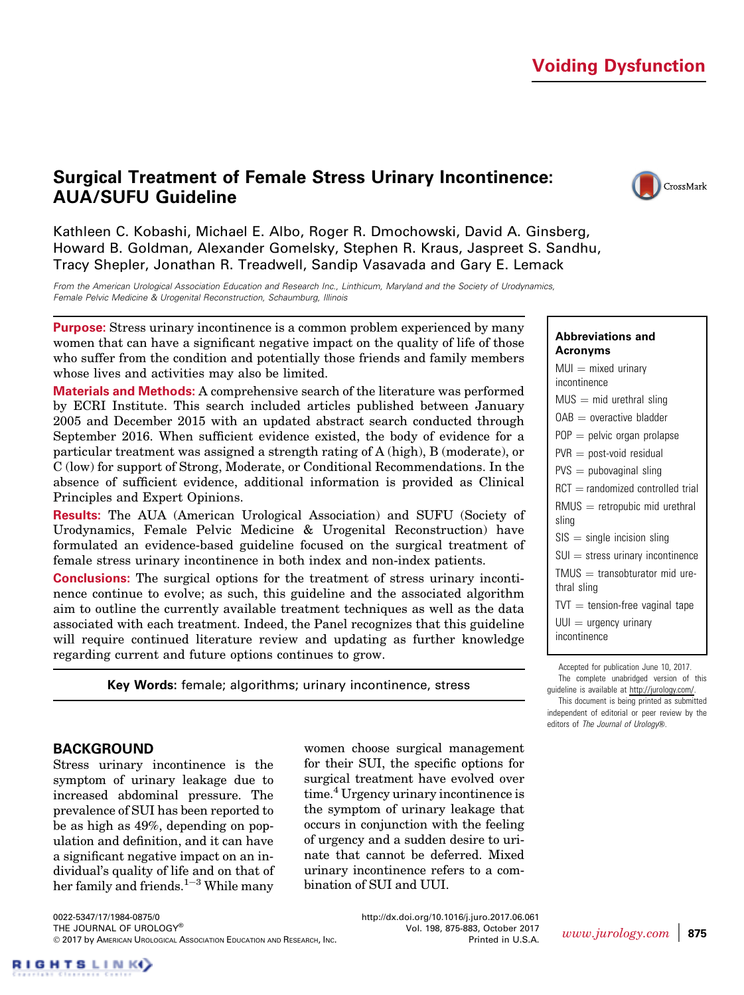# Voiding Dysfunction

# Surgical Treatment of Female Stress Urinary Incontinence: AUA/SUFU Guideline



Kathleen C. Kobashi, Michael E. Albo, Roger R. Dmochowski, David A. Ginsberg, Howard B. Goldman, Alexander Gomelsky, Stephen R. Kraus, Jaspreet S. Sandhu, Tracy Shepler, Jonathan R. Treadwell, Sandip Vasavada and Gary E. Lemack

From the American Urological Association Education and Research Inc., Linthicum, Maryland and the Society of Urodynamics, Female Pelvic Medicine & Urogenital Reconstruction, Schaumburg, Illinois

Purpose: Stress urinary incontinence is a common problem experienced by many women that can have a significant negative impact on the quality of life of those who suffer from the condition and potentially those friends and family members whose lives and activities may also be limited.

Materials and Methods: A comprehensive search of the literature was performed by ECRI Institute. This search included articles published between January 2005 and December 2015 with an updated abstract search conducted through September 2016. When sufficient evidence existed, the body of evidence for a particular treatment was assigned a strength rating of A (high), B (moderate), or C (low) for support of Strong, Moderate, or Conditional Recommendations. In the absence of sufficient evidence, additional information is provided as Clinical Principles and Expert Opinions.

Results: The AUA (American Urological Association) and SUFU (Society of Urodynamics, Female Pelvic Medicine & Urogenital Reconstruction) have formulated an evidence-based guideline focused on the surgical treatment of female stress urinary incontinence in both index and non-index patients.

Conclusions: The surgical options for the treatment of stress urinary incontinence continue to evolve; as such, this guideline and the associated algorithm aim to outline the currently available treatment techniques as well as the data associated with each treatment. Indeed, the Panel recognizes that this guideline will require continued literature review and updating as further knowledge regarding current and future options continues to grow.

Key Words: female; algorithms; urinary incontinence, stress

### BACKGROUND

Stress urinary incontinence is the symptom of urinary leakage due to increased abdominal pressure. The prevalence of SUI has been reported to be as high as 49%, depending on population and definition, and it can have a significant negative impact on an individual's quality of life and on that of her family and friends. $1-3$  $1-3$  $1-3$  While many

women choose surgical management for their SUI, the specific options for surgical treatment have evolved over time.<sup>4</sup> Urgency urinary incontinence is the symptom of urinary leakage that occurs in conjunction with the feeling of urgency and a sudden desire to urinate that cannot be deferred. Mixed urinary incontinence refers to a combination of SUI and UUI.

Abbreviations and Acronyms  $MUI = mixed$  urinary incontinence  $MUS = mid$  urethral sling  $OAB =$  overactive bladder  $POP =$  pelvic organ prolapse  $PVR = post-void residual$  $PVS =$  pubovaginal sling  $RCT =$  randomized controlled trial  $RMUS =$  retropubic mid urethral sling  $SIS =$  single incision sling  $SUI = stress$  urinary incontinence  $TMUS =$  transobturator mid urethral sling  $TVT = tension-free$  vaginal tape  $UU =$  urgency urinary incontinence

Accepted for publication June 10, 2017. The complete unabridged version of this guideline is available at [http://jurology.com/.](http://jurology.com/)

This document is being printed as submitted independent of editorial or peer review by the editors of The Journal of Urology®.

0022-5347/17/1984-0875/0 THE JOURNAL OF UROLOGY® 2017 by AMERICAN UROLOGICAL ASSOCIATION EDUCATION AND RESEARCH, INC. <http://dx.doi.org/10.1016/j.juro.2017.06.061> Vol. 198, 875-883, October 2017

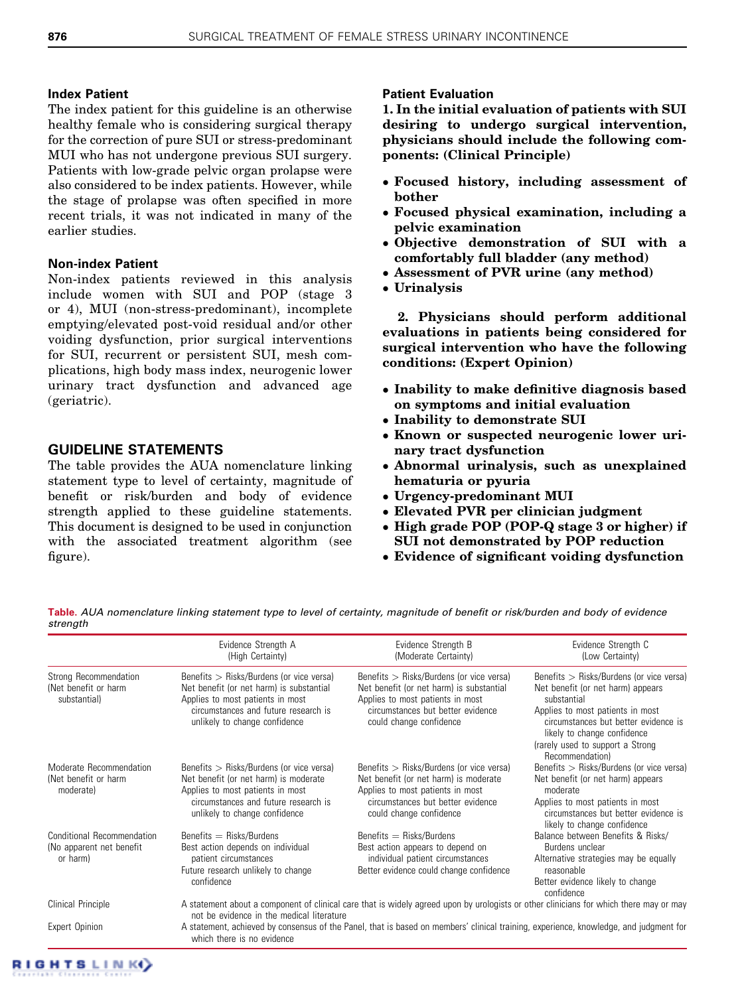## Index Patient

The index patient for this guideline is an otherwise healthy female who is considering surgical therapy for the correction of pure SUI or stress-predominant MUI who has not undergone previous SUI surgery. Patients with low-grade pelvic organ prolapse were also considered to be index patients. However, while the stage of prolapse was often specified in more recent trials, it was not indicated in many of the earlier studies.

## Non-index Patient

Non-index patients reviewed in this analysis include women with SUI and POP (stage 3 or 4), MUI (non-stress-predominant), incomplete emptying/elevated post-void residual and/or other voiding dysfunction, prior surgical interventions for SUI, recurrent or persistent SUI, mesh complications, high body mass index, neurogenic lower urinary tract dysfunction and advanced age (geriatric).

## GUIDELINE STATEMENTS

The table provides the AUA nomenclature linking statement type to level of certainty, magnitude of benefit or risk/burden and body of evidence strength applied to these guideline statements. This document is designed to be used in conjunction with the associated treatment algorithm (see [figure\)](#page-2-0).

## Patient Evaluation

1. In the initial evaluation of patients with SUI desiring to undergo surgical intervention, physicians should include the following components: (Clinical Principle)

- Focused history, including assessment of bother
- Focused physical examination, including a pelvic examination
- Objective demonstration of SUI with a comfortably full bladder (any method)
- Assessment of PVR urine (any method)
- Urinalysis

2. Physicians should perform additional evaluations in patients being considered for surgical intervention who have the following conditions: (Expert Opinion)

- Inability to make definitive diagnosis based on symptoms and initial evaluation
- Inability to demonstrate SUI
- Known or suspected neurogenic lower urinary tract dysfunction
- Abnormal urinalysis, such as unexplained hematuria or pyuria
- Urgency-predominant MUI
- Elevated PVR per clinician judgment
- High grade POP (POP-Q stage 3 or higher) if SUI not demonstrated by POP reduction
- Evidence of significant voiding dysfunction

Table. AUA nomenclature linking statement type to level of certainty, magnitude of benefit or risk/burden and body of evidence strength

|                                                                | Evidence Strength A<br>(High Certainty)                                                                                                                                             | Evidence Strength B<br>(Moderate Certainty)                                                                                | Evidence Strength C<br>(Low Certainty)                                                                  |
|----------------------------------------------------------------|-------------------------------------------------------------------------------------------------------------------------------------------------------------------------------------|----------------------------------------------------------------------------------------------------------------------------|---------------------------------------------------------------------------------------------------------|
| Strong Recommendation<br>(Net benefit or harm)<br>substantial) | Benefits $>$ Risks/Burdens (or vice versa)<br>Net benefit (or net harm) is substantial<br>Applies to most patients in most                                                          | Benefits $>$ Risks/Burdens (or vice versa)<br>Net benefit (or net harm) is substantial<br>Applies to most patients in most | Benefits $>$ Risks/Burdens (or vice versa)<br>Net benefit (or net harm) appears<br>substantial          |
|                                                                | circumstances and future research is<br>unlikely to change confidence                                                                                                               | circumstances but better evidence<br>could change confidence                                                               | Applies to most patients in most<br>circumstances but better evidence is<br>likely to change confidence |
|                                                                |                                                                                                                                                                                     |                                                                                                                            | (rarely used to support a Strong<br>Recommendation)                                                     |
| Moderate Recommendation                                        | Benefits $>$ Risks/Burdens (or vice versa)                                                                                                                                          | Benefits $>$ Risks/Burdens (or vice versa)                                                                                 | Benefits $>$ Risks/Burdens (or vice versa)                                                              |
| (Net benefit or harm<br>moderate)                              | Net benefit (or net harm) is moderate<br>Applies to most patients in most<br>circumstances and future research is<br>unlikely to change confidence                                  | Net benefit (or net harm) is moderate<br>Applies to most patients in most                                                  | Net benefit (or net harm) appears<br>moderate                                                           |
|                                                                |                                                                                                                                                                                     | circumstances but better evidence<br>could change confidence                                                               | Applies to most patients in most<br>circumstances but better evidence is<br>likely to change confidence |
| <b>Conditional Recommendation</b>                              | Benefits $=$ Risks/Burdens                                                                                                                                                          | Benefits $=$ Risks/Burdens                                                                                                 | Balance between Benefits & Risks/                                                                       |
| (No apparent net benefit<br>or harm)                           | Best action depends on individual<br>patient circumstances                                                                                                                          | Best action appears to depend on                                                                                           | Burdens unclear                                                                                         |
|                                                                |                                                                                                                                                                                     | individual patient circumstances                                                                                           | Alternative strategies may be equally                                                                   |
|                                                                | Future research unlikely to change<br>confidence                                                                                                                                    | Better evidence could change confidence                                                                                    | reasonable                                                                                              |
|                                                                |                                                                                                                                                                                     |                                                                                                                            | Better evidence likely to change<br>confidence                                                          |
| Clinical Principle                                             | A statement about a component of clinical care that is widely agreed upon by urologists or other clinicians for which there may or may<br>not be evidence in the medical literature |                                                                                                                            |                                                                                                         |
| Expert Opinion                                                 | A statement, achieved by consensus of the Panel, that is based on members' clinical training, experience, knowledge, and judgment for<br>which there is no evidence                 |                                                                                                                            |                                                                                                         |

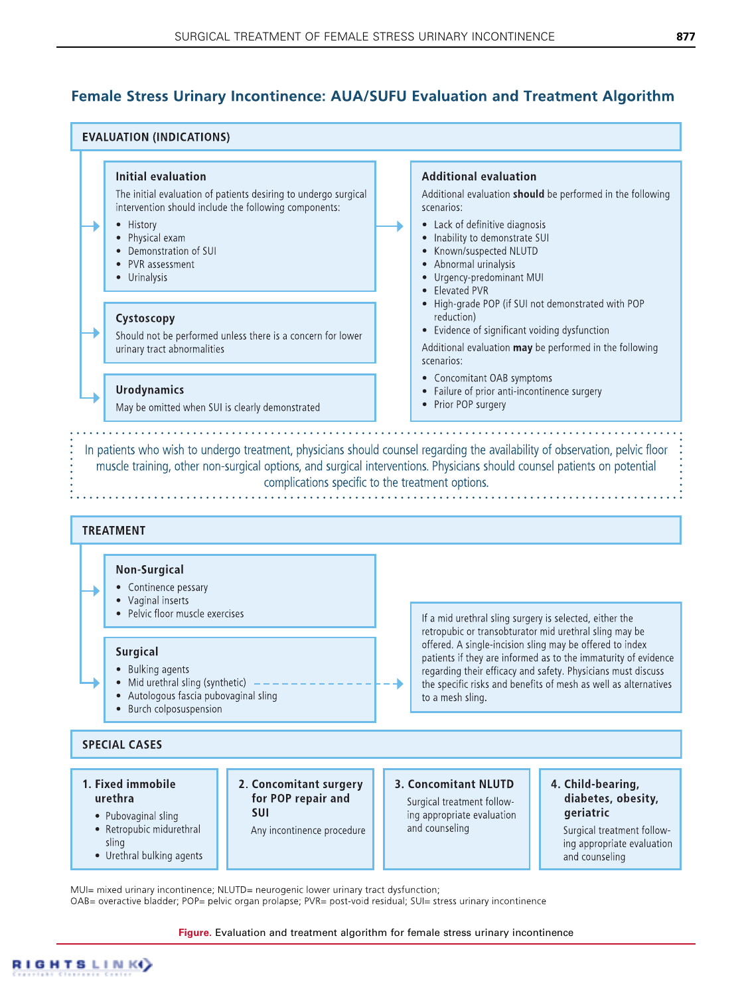# <span id="page-2-0"></span>**Female Stress Urinary Incontinence: AUA/SUFU Evaluation and Treatment Algorithm**



MUI= mixed urinary incontinence: NLUTD= neurogenic lower urinary tract dysfunction:

OAB= overactive bladder; POP= pelvic organ prolapse; PVR= post-void residual; SUI= stress urinary incontinence

**Figure.** Evaluation and treatment algorithm for female stress urinary incontinence

**GHTSLINK**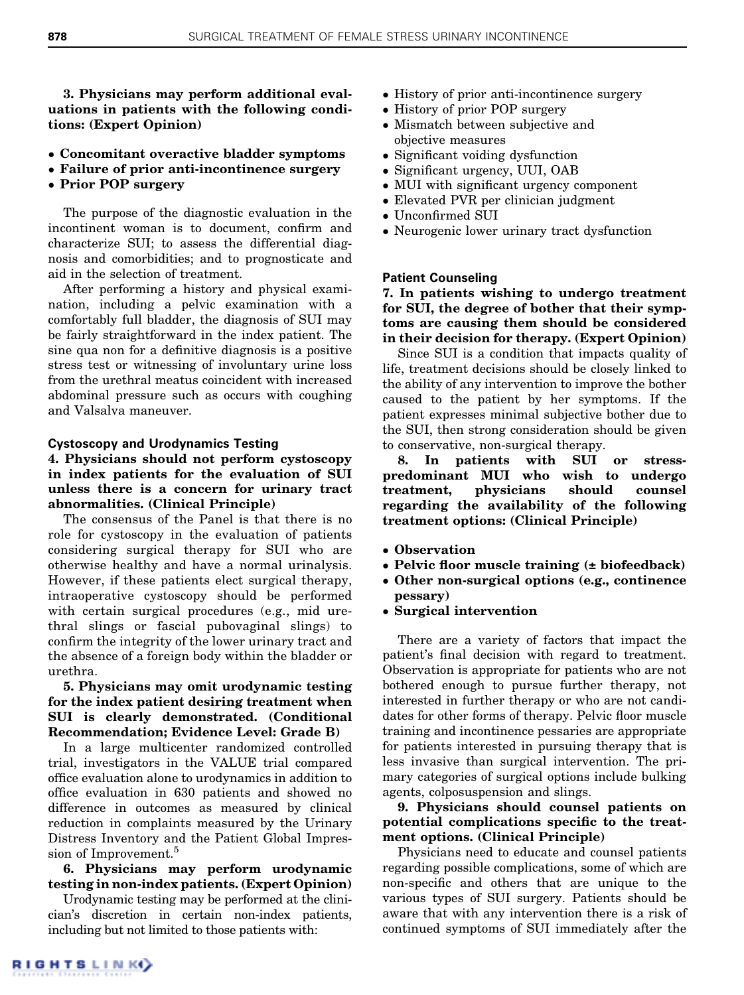3. Physicians may perform additional evaluations in patients with the following conditions: (Expert Opinion)

- Concomitant overactive bladder symptoms
- Failure of prior anti-incontinence surgery
- Prior POP surgery

The purpose of the diagnostic evaluation in the incontinent woman is to document, confirm and characterize SUI; to assess the differential diagnosis and comorbidities; and to prognosticate and aid in the selection of treatment.

After performing a history and physical examination, including a pelvic examination with a comfortably full bladder, the diagnosis of SUI may be fairly straightforward in the index patient. The sine qua non for a definitive diagnosis is a positive stress test or witnessing of involuntary urine loss from the urethral meatus coincident with increased abdominal pressure such as occurs with coughing and Valsalva maneuver.

#### Cystoscopy and Urodynamics Testing

### 4. Physicians should not perform cystoscopy in index patients for the evaluation of SUI unless there is a concern for urinary tract abnormalities. (Clinical Principle)

The consensus of the Panel is that there is no role for cystoscopy in the evaluation of patients considering surgical therapy for SUI who are otherwise healthy and have a normal urinalysis. However, if these patients elect surgical therapy, intraoperative cystoscopy should be performed with certain surgical procedures (e.g., mid urethral slings or fascial pubovaginal slings) to confirm the integrity of the lower urinary tract and the absence of a foreign body within the bladder or urethra.

### 5. Physicians may omit urodynamic testing for the index patient desiring treatment when SUI is clearly demonstrated. (Conditional Recommendation; Evidence Level: Grade B)

In a large multicenter randomized controlled trial, investigators in the VALUE trial compared office evaluation alone to urodynamics in addition to office evaluation in 630 patients and showed no difference in outcomes as measured by clinical reduction in complaints measured by the Urinary Distress Inventory and the Patient Global Impres-sion of Improvement.<sup>[5](#page-8-0)</sup>

## 6. Physicians may perform urodynamic testing in non-index patients. (Expert Opinion)

Urodynamic testing may be performed at the clinician's discretion in certain non-index patients, including but not limited to those patients with:

- History of prior anti-incontinence surgery
- History of prior POP surgery
- Mismatch between subjective and objective measures
- Significant voiding dysfunction
- Significant urgency, UUI, OAB
- MUI with significant urgency component
- Elevated PVR per clinician judgment
- Unconfirmed SUI
- Neurogenic lower urinary tract dysfunction

#### Patient Counseling

## 7. In patients wishing to undergo treatment for SUI, the degree of bother that their symptoms are causing them should be considered in their decision for therapy. (Expert Opinion)

Since SUI is a condition that impacts quality of life, treatment decisions should be closely linked to the ability of any intervention to improve the bother caused to the patient by her symptoms. If the patient expresses minimal subjective bother due to the SUI, then strong consideration should be given to conservative, non-surgical therapy.

8. In patients with SUI or stresspredominant MUI who wish to undergo treatment, physicians should counsel regarding the availability of the following treatment options: (Clinical Principle)

- Observation
- Pelvic floor muscle training (± biofeedback)
- Other non-surgical options (e.g., continence pessary)
- Surgical intervention

There are a variety of factors that impact the patient's final decision with regard to treatment. Observation is appropriate for patients who are not bothered enough to pursue further therapy, not interested in further therapy or who are not candidates for other forms of therapy. Pelvic floor muscle training and incontinence pessaries are appropriate for patients interested in pursuing therapy that is less invasive than surgical intervention. The primary categories of surgical options include bulking agents, colposuspension and slings.

## 9. Physicians should counsel patients on potential complications specific to the treatment options. (Clinical Principle)

Physicians need to educate and counsel patients regarding possible complications, some of which are non-specific and others that are unique to the various types of SUI surgery. Patients should be aware that with any intervention there is a risk of continued symptoms of SUI immediately after the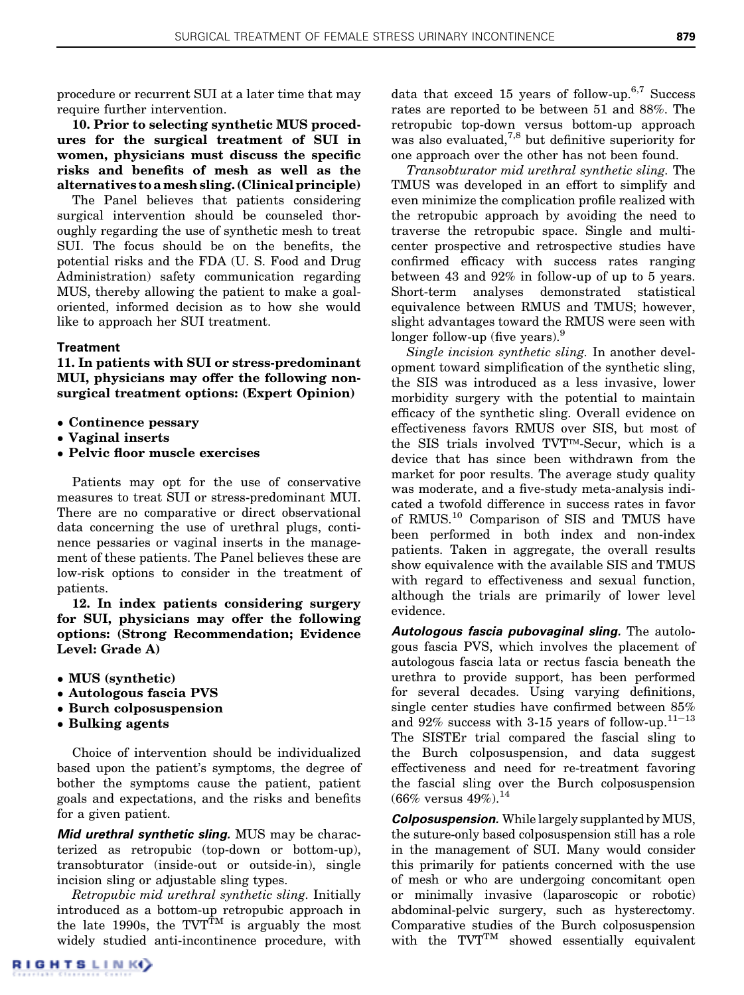procedure or recurrent SUI at a later time that may require further intervention.

10. Prior to selecting synthetic MUS procedures for the surgical treatment of SUI in women, physicians must discuss the specific risks and benefits of mesh as well as the alternatives to amesh sling. (Clinical principle)

The Panel believes that patients considering surgical intervention should be counseled thoroughly regarding the use of synthetic mesh to treat SUI. The focus should be on the benefits, the potential risks and the FDA (U. S. Food and Drug Administration) safety communication regarding MUS, thereby allowing the patient to make a goaloriented, informed decision as to how she would like to approach her SUI treatment.

#### Treatment

11. In patients with SUI or stress-predominant MUI, physicians may offer the following nonsurgical treatment options: (Expert Opinion)

- Continence pessary
- Vaginal inserts
- Pelvic floor muscle exercises

Patients may opt for the use of conservative measures to treat SUI or stress-predominant MUI. There are no comparative or direct observational data concerning the use of urethral plugs, continence pessaries or vaginal inserts in the management of these patients. The Panel believes these are low-risk options to consider in the treatment of patients.

12. In index patients considering surgery for SUI, physicians may offer the following options: (Strong Recommendation; Evidence Level: Grade A)

- MUS (synthetic)
- Autologous fascia PVS
- Burch colposuspension
- Bulking agents

Choice of intervention should be individualized based upon the patient's symptoms, the degree of bother the symptoms cause the patient, patient goals and expectations, and the risks and benefits for a given patient.

Mid urethral synthetic sling. MUS may be characterized as retropubic (top-down or bottom-up), transobturator (inside-out or outside-in), single incision sling or adjustable sling types.

Retropubic mid urethral synthetic sling. Initially introduced as a bottom-up retropubic approach in the late 1990s, the  $TVT^{\hat{T}M}$  is arguably the most widely studied anti-incontinence procedure, with

data that exceed 15 years of follow-up.<sup>[6,7](#page-8-0)</sup> Success rates are reported to be between 51 and 88%. The retropubic top-down versus bottom-up approach was also evaluated, $^{7,8}$  $^{7,8}$  $^{7,8}$  but definitive superiority for one approach over the other has not been found.

Transobturator mid urethral synthetic sling. The TMUS was developed in an effort to simplify and even minimize the complication profile realized with the retropubic approach by avoiding the need to traverse the retropubic space. Single and multicenter prospective and retrospective studies have confirmed efficacy with success rates ranging between 43 and 92% in follow-up of up to 5 years. Short-term analyses demonstrated statistical equivalence between RMUS and TMUS; however, slight advantages toward the RMUS were seen with longer follow-up (five years).<sup>9</sup>

Single incision synthetic sling. In another development toward simplification of the synthetic sling, the SIS was introduced as a less invasive, lower morbidity surgery with the potential to maintain efficacy of the synthetic sling. Overall evidence on effectiveness favors RMUS over SIS, but most of the SIS trials involved TVT<sup>TM</sup>-Secur, which is a device that has since been withdrawn from the market for poor results. The average study quality was moderate, and a five-study meta-analysis indicated a twofold difference in success rates in favor of RMUS.[10](#page-8-0) Comparison of SIS and TMUS have been performed in both index and non-index patients. Taken in aggregate, the overall results show equivalence with the available SIS and TMUS with regard to effectiveness and sexual function, although the trials are primarily of lower level evidence.

Autologous fascia pubovaginal sling. The autologous fascia PVS, which involves the placement of autologous fascia lata or rectus fascia beneath the urethra to provide support, has been performed for several decades. Using varying definitions, single center studies have confirmed between 85% and 92% success with 3-15 years of follow-up.<sup>[11](#page-8-0)-[13](#page-8-0)</sup> The SISTEr trial compared the fascial sling to the Burch colposuspension, and data suggest effectiveness and need for re-treatment favoring the fascial sling over the Burch colposuspension  $(66\% \text{ versus } 49\%).^{14}$  $(66\% \text{ versus } 49\%).^{14}$  $(66\% \text{ versus } 49\%).^{14}$ 

**Colposuspension.** While largely supplanted by MUS, the suture-only based colposuspension still has a role in the management of SUI. Many would consider this primarily for patients concerned with the use of mesh or who are undergoing concomitant open or minimally invasive (laparoscopic or robotic) abdominal-pelvic surgery, such as hysterectomy. Comparative studies of the Burch colposuspension with the  $TVT^{TM}$  showed essentially equivalent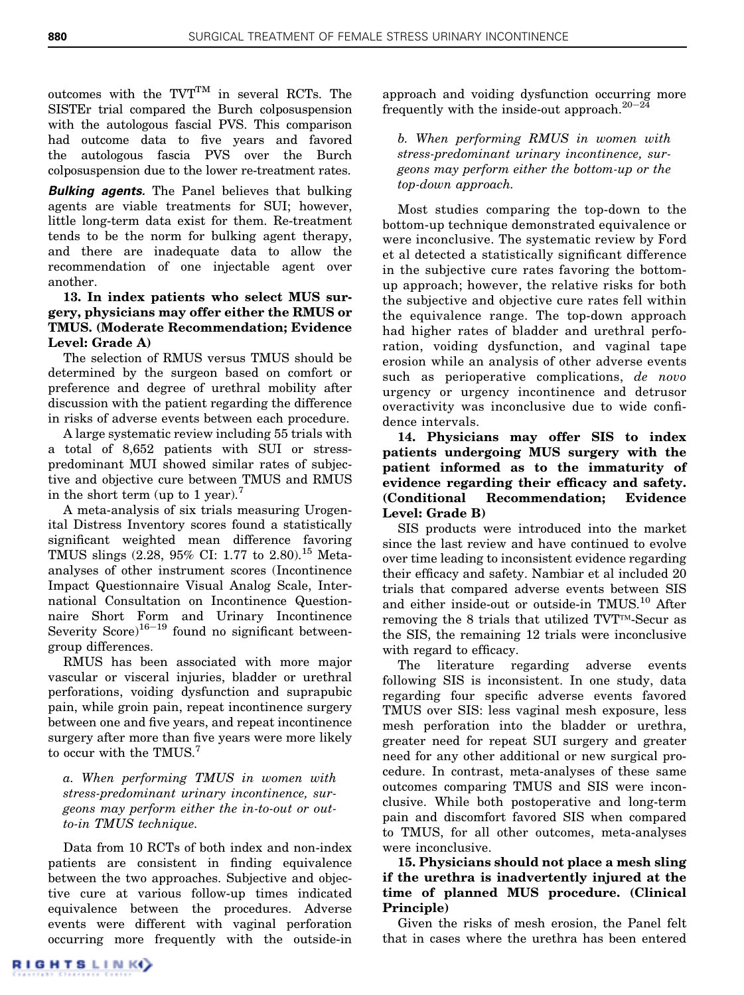outcomes with the  $TVT^{TM}$  in several RCTs. The SISTEr trial compared the Burch colposuspension with the autologous fascial PVS. This comparison had outcome data to five years and favored the autologous fascia PVS over the Burch colposuspension due to the lower re-treatment rates.

**Bulking agents.** The Panel believes that bulking agents are viable treatments for SUI; however, little long-term data exist for them. Re-treatment tends to be the norm for bulking agent therapy, and there are inadequate data to allow the recommendation of one injectable agent over another.

## 13. In index patients who select MUS surgery, physicians may offer either the RMUS or TMUS. (Moderate Recommendation; Evidence Level: Grade A)

The selection of RMUS versus TMUS should be determined by the surgeon based on comfort or preference and degree of urethral mobility after discussion with the patient regarding the difference in risks of adverse events between each procedure.

A large systematic review including 55 trials with a total of 8,652 patients with SUI or stresspredominant MUI showed similar rates of subjective and objective cure between TMUS and RMUS in the short term (up to 1 year).<sup>[7](#page-8-0)</sup>

A meta-analysis of six trials measuring Urogenital Distress Inventory scores found a statistically significant weighted mean difference favoring TMUS slings (2.28, 95% CI: 1.77 to 2.80).<sup>[15](#page-8-0)</sup> Metaanalyses of other instrument scores (Incontinence Impact Questionnaire Visual Analog Scale, International Consultation on Incontinence Questionnaire Short Form and Urinary Incontinence Severity Score) $16-19$  $16-19$  $16-19$  found no significant betweengroup differences.

RMUS has been associated with more major vascular or visceral injuries, bladder or urethral perforations, voiding dysfunction and suprapubic pain, while groin pain, repeat incontinence surgery between one and five years, and repeat incontinence surgery after more than five years were more likely to occur with the TMUS.<sup>[7](#page-8-0)</sup>

a. When performing TMUS in women with stress-predominant urinary incontinence, surgeons may perform either the in-to-out or outto-in TMUS technique.

Data from 10 RCTs of both index and non-index patients are consistent in finding equivalence between the two approaches. Subjective and objective cure at various follow-up times indicated equivalence between the procedures. Adverse events were different with vaginal perforation occurring more frequently with the outside-in approach and voiding dysfunction occurring more frequently with the inside-out approach.<sup>[20](#page-8-0)-[24](#page-8-0)</sup>

b. When performing RMUS in women with stress-predominant urinary incontinence, surgeons may perform either the bottom-up or the top-down approach.

Most studies comparing the top-down to the bottom-up technique demonstrated equivalence or were inconclusive. The systematic review by Ford et al detected a statistically significant difference in the subjective cure rates favoring the bottomup approach; however, the relative risks for both the subjective and objective cure rates fell within the equivalence range. The top-down approach had higher rates of bladder and urethral perforation, voiding dysfunction, and vaginal tape erosion while an analysis of other adverse events such as perioperative complications, de novo urgency or urgency incontinence and detrusor overactivity was inconclusive due to wide confidence intervals.

14. Physicians may offer SIS to index patients undergoing MUS surgery with the patient informed as to the immaturity of evidence regarding their efficacy and safety. (Conditional Recommendation; Evidence Level: Grade B)

SIS products were introduced into the market since the last review and have continued to evolve over time leading to inconsistent evidence regarding their efficacy and safety. Nambiar et al included 20 trials that compared adverse events between SIS and either inside-out or outside-in TMUS.[10](#page-8-0) After removing the 8 trials that utilized  $TVT^{TM}$ -Secur as the SIS, the remaining 12 trials were inconclusive with regard to efficacy.

The literature regarding adverse events following SIS is inconsistent. In one study, data regarding four specific adverse events favored TMUS over SIS: less vaginal mesh exposure, less mesh perforation into the bladder or urethra, greater need for repeat SUI surgery and greater need for any other additional or new surgical procedure. In contrast, meta-analyses of these same outcomes comparing TMUS and SIS were inconclusive. While both postoperative and long-term pain and discomfort favored SIS when compared to TMUS, for all other outcomes, meta-analyses were inconclusive.

15. Physicians should not place a mesh sling if the urethra is inadvertently injured at the time of planned MUS procedure. (Clinical Principle)

Given the risks of mesh erosion, the Panel felt that in cases where the urethra has been entered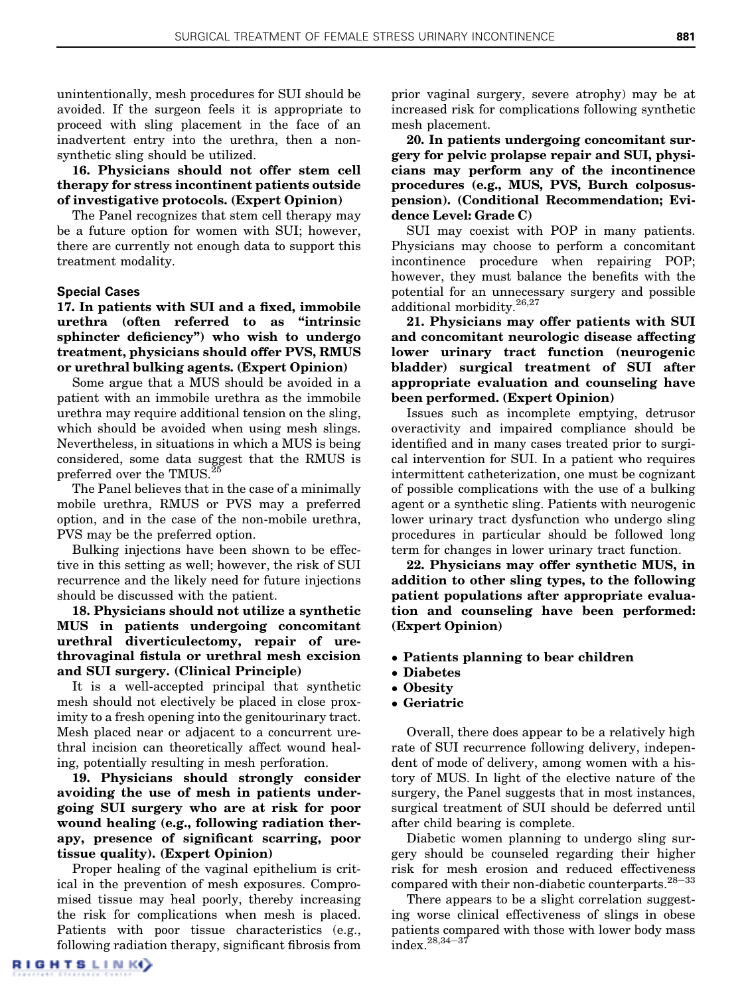unintentionally, mesh procedures for SUI should be avoided. If the surgeon feels it is appropriate to proceed with sling placement in the face of an inadvertent entry into the urethra, then a nonsynthetic sling should be utilized.

16. Physicians should not offer stem cell therapy for stress incontinent patients outside of investigative protocols. (Expert Opinion)

The Panel recognizes that stem cell therapy may be a future option for women with SUI; however, there are currently not enough data to support this treatment modality.

#### Special Cases

17. In patients with SUI and a fixed, immobile urethra (often referred to as "intrinsic sphincter deficiency") who wish to undergo treatment, physicians should offer PVS, RMUS or urethral bulking agents. (Expert Opinion)

Some argue that a MUS should be avoided in a patient with an immobile urethra as the immobile urethra may require additional tension on the sling, which should be avoided when using mesh slings. Nevertheless, in situations in which a MUS is being considered, some data suggest that the RMUS is preferred over the TMUS.<sup>2</sup>

The Panel believes that in the case of a minimally mobile urethra, RMUS or PVS may a preferred option, and in the case of the non-mobile urethra, PVS may be the preferred option.

Bulking injections have been shown to be effective in this setting as well; however, the risk of SUI recurrence and the likely need for future injections should be discussed with the patient.

18. Physicians should not utilize a synthetic MUS in patients undergoing concomitant urethral diverticulectomy, repair of urethrovaginal fistula or urethral mesh excision and SUI surgery. (Clinical Principle)

It is a well-accepted principal that synthetic mesh should not electively be placed in close proximity to a fresh opening into the genitourinary tract. Mesh placed near or adjacent to a concurrent urethral incision can theoretically affect wound healing, potentially resulting in mesh perforation.

19. Physicians should strongly consider avoiding the use of mesh in patients undergoing SUI surgery who are at risk for poor wound healing (e.g., following radiation therapy, presence of significant scarring, poor tissue quality). (Expert Opinion)

Proper healing of the vaginal epithelium is critical in the prevention of mesh exposures. Compromised tissue may heal poorly, thereby increasing the risk for complications when mesh is placed. Patients with poor tissue characteristics (e.g., following radiation therapy, significant fibrosis from prior vaginal surgery, severe atrophy) may be at increased risk for complications following synthetic mesh placement.

20. In patients undergoing concomitant surgery for pelvic prolapse repair and SUI, physicians may perform any of the incontinence procedures (e.g., MUS, PVS, Burch colposuspension). (Conditional Recommendation; Evidence Level: Grade C)

SUI may coexist with POP in many patients. Physicians may choose to perform a concomitant incontinence procedure when repairing POP; however, they must balance the benefits with the potential for an unnecessary surgery and possible additional morbidity.<sup>[26,27](#page-8-0)</sup>

21. Physicians may offer patients with SUI and concomitant neurologic disease affecting lower urinary tract function (neurogenic bladder) surgical treatment of SUI after appropriate evaluation and counseling have been performed. (Expert Opinion)

Issues such as incomplete emptying, detrusor overactivity and impaired compliance should be identified and in many cases treated prior to surgical intervention for SUI. In a patient who requires intermittent catheterization, one must be cognizant of possible complications with the use of a bulking agent or a synthetic sling. Patients with neurogenic lower urinary tract dysfunction who undergo sling procedures in particular should be followed long term for changes in lower urinary tract function.

22. Physicians may offer synthetic MUS, in addition to other sling types, to the following patient populations after appropriate evaluation and counseling have been performed: (Expert Opinion)

- Patients planning to bear children
- Diabetes
- Obesity
- Geriatric

Overall, there does appear to be a relatively high rate of SUI recurrence following delivery, independent of mode of delivery, among women with a history of MUS. In light of the elective nature of the surgery, the Panel suggests that in most instances, surgical treatment of SUI should be deferred until after child bearing is complete.

Diabetic women planning to undergo sling surgery should be counseled regarding their higher risk for mesh erosion and reduced effectiveness compared with their non-diabetic counterparts. $28-33$  $28-33$  $28-33$ 

There appears to be a slight correlation suggesting worse clinical effectiveness of slings in obese patients compared with those with lower body mass  $index. <sup>28,34–37</sup>$  $index. <sup>28,34–37</sup>$  $index. <sup>28,34–37</sup>$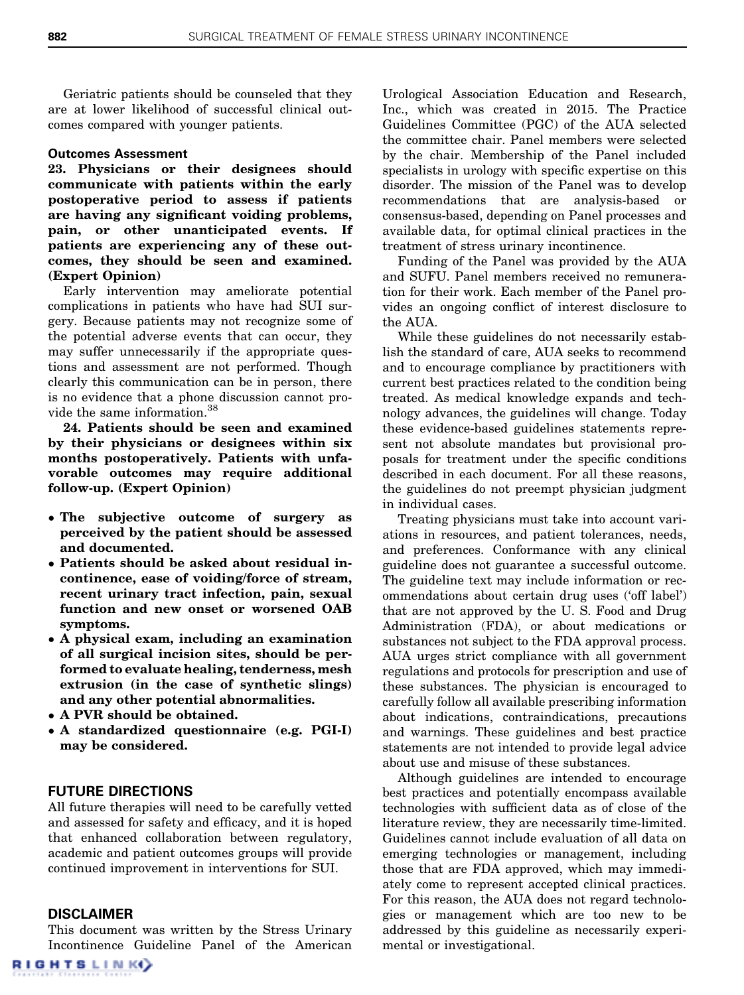Geriatric patients should be counseled that they are at lower likelihood of successful clinical outcomes compared with younger patients.

#### Outcomes Assessment

23. Physicians or their designees should communicate with patients within the early postoperative period to assess if patients are having any significant voiding problems, pain, or other unanticipated events. If patients are experiencing any of these outcomes, they should be seen and examined. (Expert Opinion)

Early intervention may ameliorate potential complications in patients who have had SUI surgery. Because patients may not recognize some of the potential adverse events that can occur, they may suffer unnecessarily if the appropriate questions and assessment are not performed. Though clearly this communication can be in person, there is no evidence that a phone discussion cannot provide the same information.[38](#page-8-0)

24. Patients should be seen and examined by their physicians or designees within six months postoperatively. Patients with unfavorable outcomes may require additional follow-up. (Expert Opinion)

- The subjective outcome of surgery as perceived by the patient should be assessed and documented.
- Patients should be asked about residual incontinence, ease of voiding/force of stream, recent urinary tract infection, pain, sexual function and new onset or worsened OAB symptoms.
- A physical exam, including an examination of all surgical incision sites, should be performed to evaluate healing, tenderness, mesh extrusion (in the case of synthetic slings) and any other potential abnormalities.
- A PVR should be obtained.
- A standardized questionnaire (e.g. PGI-I) may be considered.

#### FUTURE DIRECTIONS

All future therapies will need to be carefully vetted and assessed for safety and efficacy, and it is hoped that enhanced collaboration between regulatory, academic and patient outcomes groups will provide continued improvement in interventions for SUI.

#### DISCLAIMER

This document was written by the Stress Urinary Incontinence Guideline Panel of the American

Urological Association Education and Research, Inc., which was created in 2015. The Practice Guidelines Committee (PGC) of the AUA selected the committee chair. Panel members were selected by the chair. Membership of the Panel included specialists in urology with specific expertise on this disorder. The mission of the Panel was to develop recommendations that are analysis-based or consensus-based, depending on Panel processes and available data, for optimal clinical practices in the treatment of stress urinary incontinence.

Funding of the Panel was provided by the AUA and SUFU. Panel members received no remuneration for their work. Each member of the Panel provides an ongoing conflict of interest disclosure to the AUA.

While these guidelines do not necessarily establish the standard of care, AUA seeks to recommend and to encourage compliance by practitioners with current best practices related to the condition being treated. As medical knowledge expands and technology advances, the guidelines will change. Today these evidence-based guidelines statements represent not absolute mandates but provisional proposals for treatment under the specific conditions described in each document. For all these reasons, the guidelines do not preempt physician judgment in individual cases.

Treating physicians must take into account variations in resources, and patient tolerances, needs, and preferences. Conformance with any clinical guideline does not guarantee a successful outcome. The guideline text may include information or recommendations about certain drug uses ('off label') that are not approved by the U. S. Food and Drug Administration (FDA), or about medications or substances not subject to the FDA approval process. AUA urges strict compliance with all government regulations and protocols for prescription and use of these substances. The physician is encouraged to carefully follow all available prescribing information about indications, contraindications, precautions and warnings. These guidelines and best practice statements are not intended to provide legal advice about use and misuse of these substances.

Although guidelines are intended to encourage best practices and potentially encompass available technologies with sufficient data as of close of the literature review, they are necessarily time-limited. Guidelines cannot include evaluation of all data on emerging technologies or management, including those that are FDA approved, which may immediately come to represent accepted clinical practices. For this reason, the AUA does not regard technologies or management which are too new to be addressed by this guideline as necessarily experimental or investigational.